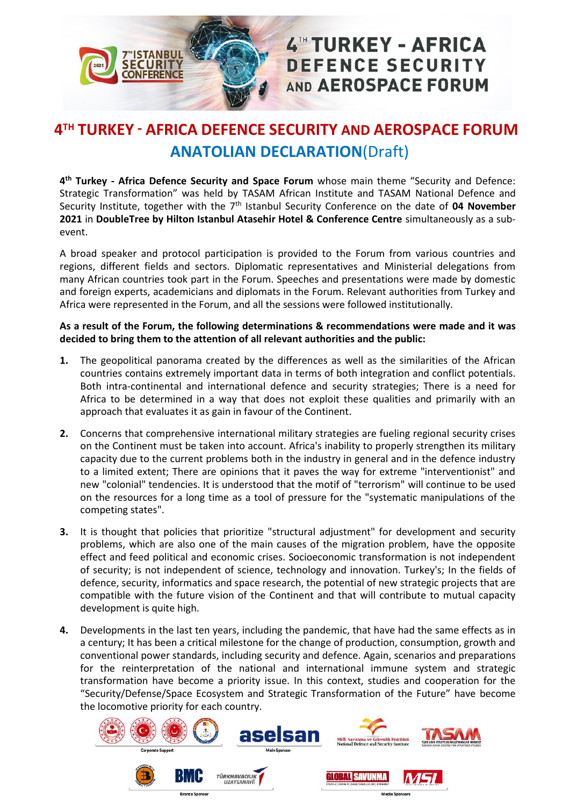

## 4TH TURKEY - AFRICA **DEFENCE SECURITY** AND AEROSPACE FORUM

## **4 TH TURKEY - AFRICA DEFENCE SECURITY AND AEROSPACE FORUM ANATOLIAN DECLARATION**(Draft)

**4 th Turkey - Africa Defence Security and Space Forum** whose main theme "Security and Defence: Strategic Transformation" was held by TASAM African Institute and TASAM National Defence and Security Institute, together with the 7<sup>th</sup> Istanbul Security Conference on the date of 04 November **2021** in **DoubleTree by Hilton Istanbul Atasehir Hotel & Conference Centre** simultaneously as a subevent.

A broad speaker and protocol participation is provided to the Forum from various countries and regions, different fields and sectors. Diplomatic representatives and Ministerial delegations from many African countries took part in the Forum. Speeches and presentations were made by domestic and foreign experts, academicians and diplomats in the Forum. Relevant authorities from Turkey and Africa were represented in the Forum, and all the sessions were followed institutionally.

## **As a result of the Forum, the following determinations & recommendations were made and it was decided to bring them to the attention of all relevant authorities and the public:**

- **1.** The geopolitical panorama created by the differences as well as the similarities of the African countries contains extremely important data in terms of both integration and conflict potentials. Both intra-continental and international defence and security strategies; There is a need for Africa to be determined in a way that does not exploit these qualities and primarily with an approach that evaluates it as gain in favour of the Continent.
- **2.** Concerns that comprehensive international military strategies are fueling regional security crises on the Continent must be taken into account. Africa's inability to properly strengthen its military capacity due to the current problems both in the industry in general and in the defence industry to a limited extent; There are opinions that it paves the way for extreme "interventionist" and new "colonial" tendencies. It is understood that the motif of "terrorism" will continue to be used on the resources for a long time as a tool of pressure for the "systematic manipulations of the competing states".
- **3.** It is thought that policies that prioritize "structural adjustment" for development and security problems, which are also one of the main causes of the migration problem, have the opposite effect and feed political and economic crises. Socioeconomic transformation is not independent of security; is not independent of science, technology and innovation. Turkey's; In the fields of defence, security, informatics and space research, the potential of new strategic projects that are compatible with the future vision of the Continent and that will contribute to mutual capacity development is quite high.
- **4.** Developments in the last ten years, including the pandemic, that have had the same effects as in a century; It has been a critical milestone for the change of production, consumption, growth and conventional power standards, including security and defence. Again, scenarios and preparations for the reinterpretation of the national and international immune system and strategic transformation have become a priority issue. In this context, studies and cooperation for the "Security/Defense/Space Ecosystem and Strategic Transformation of the Future" have become the locomotive priority for each country.

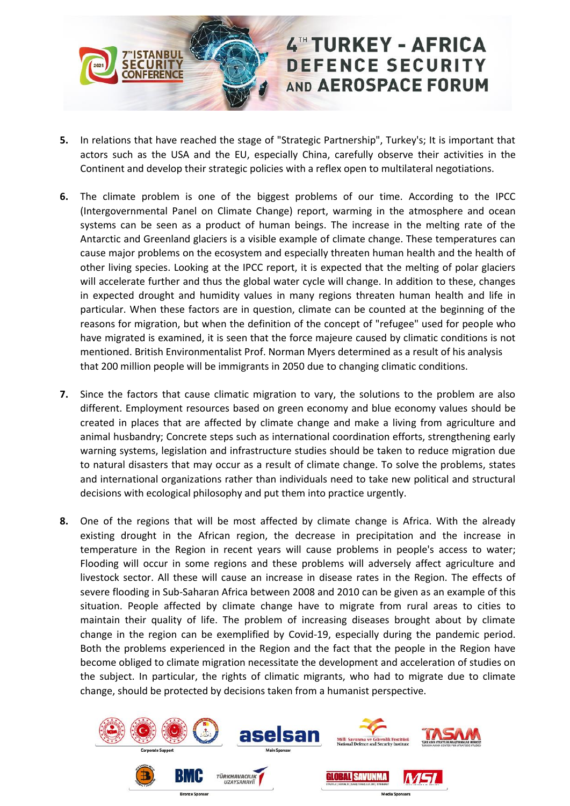

- **5.** In relations that have reached the stage of "Strategic Partnership", Turkey's; It is important that actors such as the USA and the EU, especially China, carefully observe their activities in the Continent and develop their strategic policies with a reflex open to multilateral negotiations.
- **6.** The climate problem is one of the biggest problems of our time. According to the IPCC (Intergovernmental Panel on Climate Change) report, warming in the atmosphere and ocean systems can be seen as a product of human beings. The increase in the melting rate of the Antarctic and Greenland glaciers is a visible example of climate change. These temperatures can cause major problems on the ecosystem and especially threaten human health and the health of other living species. Looking at the IPCC report, it is expected that the melting of polar glaciers will accelerate further and thus the global water cycle will change. In addition to these, changes in expected drought and humidity values in many regions threaten human health and life in particular. When these factors are in question, climate can be counted at the beginning of the reasons for migration, but when the definition of the concept of "refugee" used for people who have migrated is examined, it is seen that the force majeure caused by climatic conditions is not mentioned. British Environmentalist Prof. Norman Myers determined as a result of his analysis that 200 million people will be immigrants in 2050 due to changing climatic conditions.
- **7.** Since the factors that cause climatic migration to vary, the solutions to the problem are also different. Employment resources based on green economy and blue economy values should be created in places that are affected by climate change and make a living from agriculture and animal husbandry; Concrete steps such as international coordination efforts, strengthening early warning systems, legislation and infrastructure studies should be taken to reduce migration due to natural disasters that may occur as a result of climate change. To solve the problems, states and international organizations rather than individuals need to take new political and structural decisions with ecological philosophy and put them into practice urgently.
- **8.** One of the regions that will be most affected by climate change is Africa. With the already existing drought in the African region, the decrease in precipitation and the increase in temperature in the Region in recent years will cause problems in people's access to water; Flooding will occur in some regions and these problems will adversely affect agriculture and livestock sector. All these will cause an increase in disease rates in the Region. The effects of severe flooding in Sub-Saharan Africa between 2008 and 2010 can be given as an example of this situation. People affected by climate change have to migrate from rural areas to cities to maintain their quality of life. The problem of increasing diseases brought about by climate change in the region can be exemplified by Covid-19, especially during the pandemic period. Both the problems experienced in the Region and the fact that the people in the Region have become obliged to climate migration necessitate the development and acceleration of studies on the subject. In particular, the rights of climatic migrants, who had to migrate due to climate change, should be protected by decisions taken from a humanist perspective.

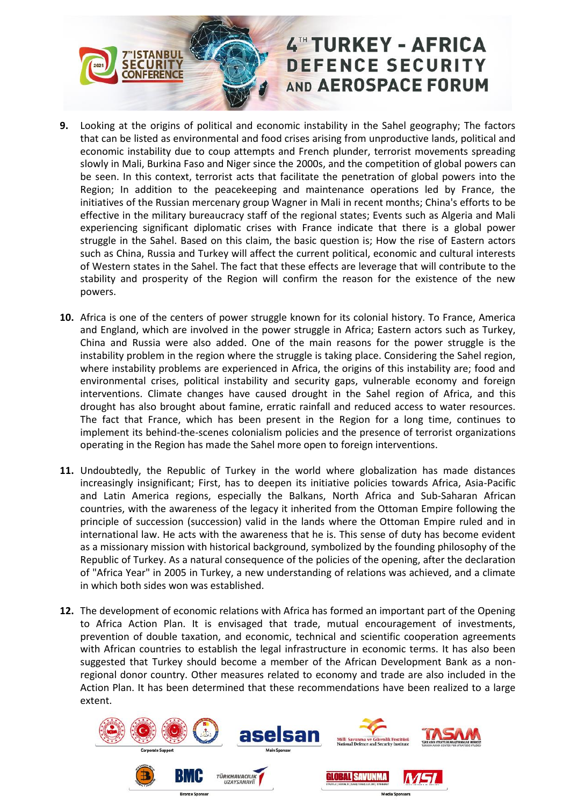

- **9.** Looking at the origins of political and economic instability in the Sahel geography; The factors that can be listed as environmental and food crises arising from unproductive lands, political and economic instability due to coup attempts and French plunder, terrorist movements spreading slowly in Mali, Burkina Faso and Niger since the 2000s, and the competition of global powers can be seen. In this context, terrorist acts that facilitate the penetration of global powers into the Region; In addition to the peacekeeping and maintenance operations led by France, the initiatives of the Russian mercenary group Wagner in Mali in recent months; China's efforts to be effective in the military bureaucracy staff of the regional states; Events such as Algeria and Mali experiencing significant diplomatic crises with France indicate that there is a global power struggle in the Sahel. Based on this claim, the basic question is; How the rise of Eastern actors such as China, Russia and Turkey will affect the current political, economic and cultural interests of Western states in the Sahel. The fact that these effects are leverage that will contribute to the stability and prosperity of the Region will confirm the reason for the existence of the new powers.
- **10.** Africa is one of the centers of power struggle known for its colonial history. To France, America and England, which are involved in the power struggle in Africa; Eastern actors such as Turkey, China and Russia were also added. One of the main reasons for the power struggle is the instability problem in the region where the struggle is taking place. Considering the Sahel region, where instability problems are experienced in Africa, the origins of this instability are; food and environmental crises, political instability and security gaps, vulnerable economy and foreign interventions. Climate changes have caused drought in the Sahel region of Africa, and this drought has also brought about famine, erratic rainfall and reduced access to water resources. The fact that France, which has been present in the Region for a long time, continues to implement its behind-the-scenes colonialism policies and the presence of terrorist organizations operating in the Region has made the Sahel more open to foreign interventions.
- **11.** Undoubtedly, the Republic of Turkey in the world where globalization has made distances increasingly insignificant; First, has to deepen its initiative policies towards Africa, Asia-Pacific and Latin America regions, especially the Balkans, North Africa and Sub-Saharan African countries, with the awareness of the legacy it inherited from the Ottoman Empire following the principle of succession (succession) valid in the lands where the Ottoman Empire ruled and in international law. He acts with the awareness that he is. This sense of duty has become evident as a missionary mission with historical background, symbolized by the founding philosophy of the Republic of Turkey. As a natural consequence of the policies of the opening, after the declaration of "Africa Year" in 2005 in Turkey, a new understanding of relations was achieved, and a climate in which both sides won was established.
- **12.** The development of economic relations with Africa has formed an important part of the Opening to Africa Action Plan. It is envisaged that trade, mutual encouragement of investments, prevention of double taxation, and economic, technical and scientific cooperation agreements with African countries to establish the legal infrastructure in economic terms. It has also been suggested that Turkey should become a member of the African Development Bank as a nonregional donor country. Other measures related to economy and trade are also included in the Action Plan. It has been determined that these recommendations have been realized to a large extent.

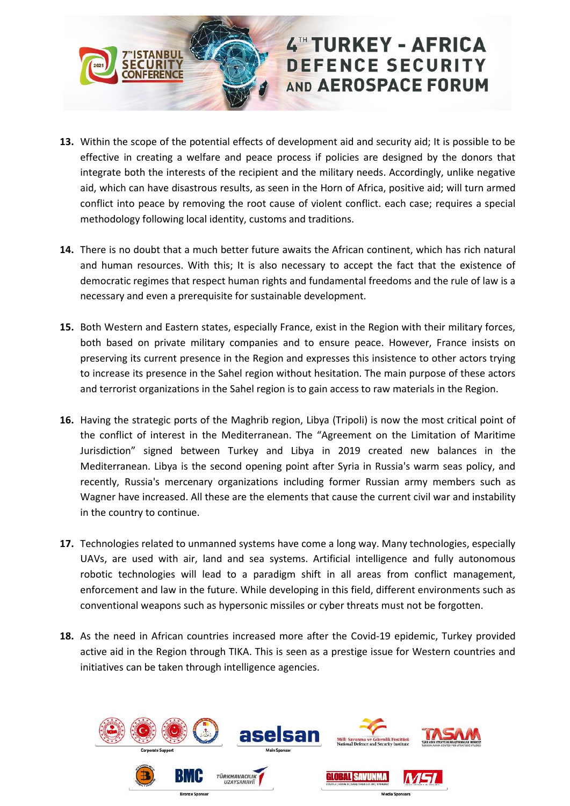

- **13.** Within the scope of the potential effects of development aid and security aid; It is possible to be effective in creating a welfare and peace process if policies are designed by the donors that integrate both the interests of the recipient and the military needs. Accordingly, unlike negative aid, which can have disastrous results, as seen in the Horn of Africa, positive aid; will turn armed conflict into peace by removing the root cause of violent conflict. each case; requires a special methodology following local identity, customs and traditions.
- **14.** There is no doubt that a much better future awaits the African continent, which has rich natural and human resources. With this; It is also necessary to accept the fact that the existence of democratic regimes that respect human rights and fundamental freedoms and the rule of law is a necessary and even a prerequisite for sustainable development.
- **15.** Both Western and Eastern states, especially France, exist in the Region with their military forces, both based on private military companies and to ensure peace. However, France insists on preserving its current presence in the Region and expresses this insistence to other actors trying to increase its presence in the Sahel region without hesitation. The main purpose of these actors and terrorist organizations in the Sahel region is to gain access to raw materials in the Region.
- **16.** Having the strategic ports of the Maghrib region, Libya (Tripoli) is now the most critical point of the conflict of interest in the Mediterranean. The "Agreement on the Limitation of Maritime Jurisdiction" signed between Turkey and Libya in 2019 created new balances in the Mediterranean. Libya is the second opening point after Syria in Russia's warm seas policy, and recently, Russia's mercenary organizations including former Russian army members such as Wagner have increased. All these are the elements that cause the current civil war and instability in the country to continue.
- **17.** Technologies related to unmanned systems have come a long way. Many technologies, especially UAVs, are used with air, land and sea systems. Artificial intelligence and fully autonomous robotic technologies will lead to a paradigm shift in all areas from conflict management, enforcement and law in the future. While developing in this field, different environments such as conventional weapons such as hypersonic missiles or cyber threats must not be forgotten.
- **18.** As the need in African countries increased more after the Covid-19 epidemic, Turkey provided active aid in the Region through TIKA. This is seen as a prestige issue for Western countries and initiatives can be taken through intelligence agencies.

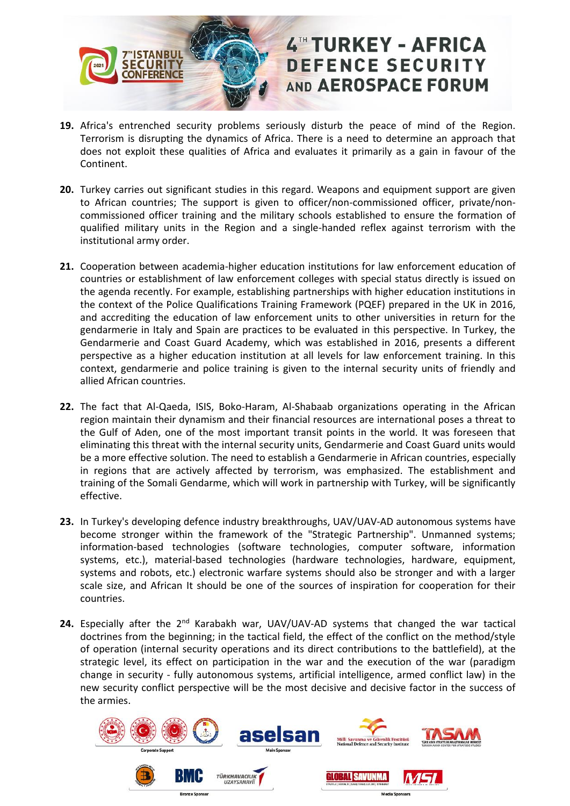

- **19.** Africa's entrenched security problems seriously disturb the peace of mind of the Region. Terrorism is disrupting the dynamics of Africa. There is a need to determine an approach that does not exploit these qualities of Africa and evaluates it primarily as a gain in favour of the Continent.
- **20.** Turkey carries out significant studies in this regard. Weapons and equipment support are given to African countries; The support is given to officer/non-commissioned officer, private/noncommissioned officer training and the military schools established to ensure the formation of qualified military units in the Region and a single-handed reflex against terrorism with the institutional army order.
- **21.** Cooperation between academia-higher education institutions for law enforcement education of countries or establishment of law enforcement colleges with special status directly is issued on the agenda recently. For example, establishing partnerships with higher education institutions in the context of the Police Qualifications Training Framework (PQEF) prepared in the UK in 2016, and accrediting the education of law enforcement units to other universities in return for the gendarmerie in Italy and Spain are practices to be evaluated in this perspective. In Turkey, the Gendarmerie and Coast Guard Academy, which was established in 2016, presents a different perspective as a higher education institution at all levels for law enforcement training. In this context, gendarmerie and police training is given to the internal security units of friendly and allied African countries.
- **22.** The fact that Al-Qaeda, ISIS, Boko-Haram, Al-Shabaab organizations operating in the African region maintain their dynamism and their financial resources are international poses a threat to the Gulf of Aden, one of the most important transit points in the world. It was foreseen that eliminating this threat with the internal security units, Gendarmerie and Coast Guard units would be a more effective solution. The need to establish a Gendarmerie in African countries, especially in regions that are actively affected by terrorism, was emphasized. The establishment and training of the Somali Gendarme, which will work in partnership with Turkey, will be significantly effective.
- **23.** In Turkey's developing defence industry breakthroughs, UAV/UAV-AD autonomous systems have become stronger within the framework of the "Strategic Partnership". Unmanned systems; information-based technologies (software technologies, computer software, information systems, etc.), material-based technologies (hardware technologies, hardware, equipment, systems and robots, etc.) electronic warfare systems should also be stronger and with a larger scale size, and African It should be one of the sources of inspiration for cooperation for their countries.
- 24. Especially after the 2<sup>nd</sup> Karabakh war, UAV/UAV-AD systems that changed the war tactical doctrines from the beginning; in the tactical field, the effect of the conflict on the method/style of operation (internal security operations and its direct contributions to the battlefield), at the strategic level, its effect on participation in the war and the execution of the war (paradigm change in security - fully autonomous systems, artificial intelligence, armed conflict law) in the new security conflict perspective will be the most decisive and decisive factor in the success of the armies.